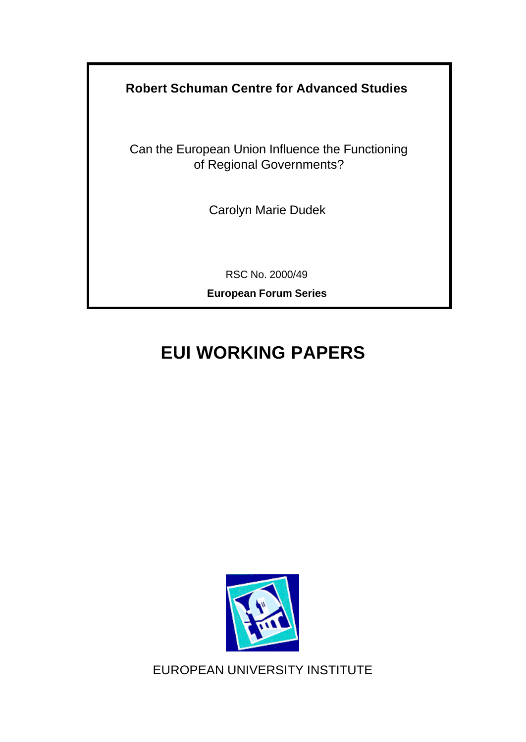**Robert Schuman Centre for Advanced Studies**

Can the European Union Influence the Functioning of Regional Governments?

Carolyn Marie Dudek

RSC No. 2000/49

**European Forum Series**

# **EUI WORKING PAPERS**



EUROPEAN UNIVERSITY INSTITUTE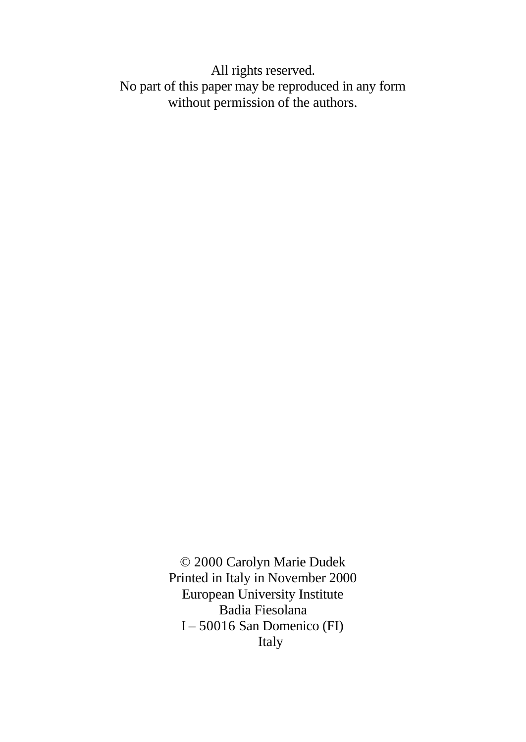All rights reserved. No part of this paper may be reproduced in any form without permission of the authors.

> © 2000 Carolyn Marie Dudek Printed in Italy in November 2000 European University Institute Badia Fiesolana I – 50016 San Domenico (FI) Italy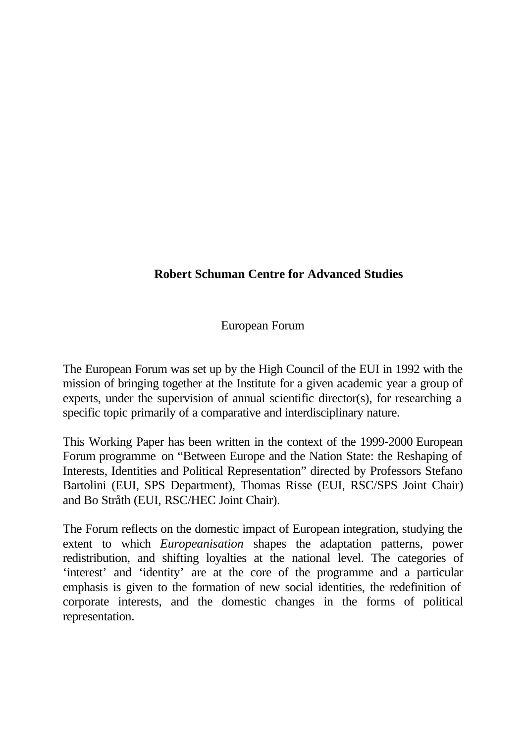# **Robert Schuman Centre for Advanced Studies**

European Forum

The European Forum was set up by the High Council of the EUI in 1992 with the mission of bringing together at the Institute for a given academic year a group of experts, under the supervision of annual scientific director(s), for researching a specific topic primarily of a comparative and interdisciplinary nature.

This Working Paper has been written in the context of the 1999-2000 European Forum programme on "Between Europe and the Nation State: the Reshaping of Interests, Identities and Political Representation" directed by Professors Stefano Bartolini (EUI, SPS Department), Thomas Risse (EUI, RSC/SPS Joint Chair) and Bo Stråth (EUI, RSC/HEC Joint Chair).

The Forum reflects on the domestic impact of European integration, studying the extent to which *Europeanisation* shapes the adaptation patterns, power redistribution, and shifting loyalties at the national level. The categories of 'interest' and 'identity' are at the core of the programme and a particular emphasis is given to the formation of new social identities, the redefinition of corporate interests, and the domestic changes in the forms of political representation.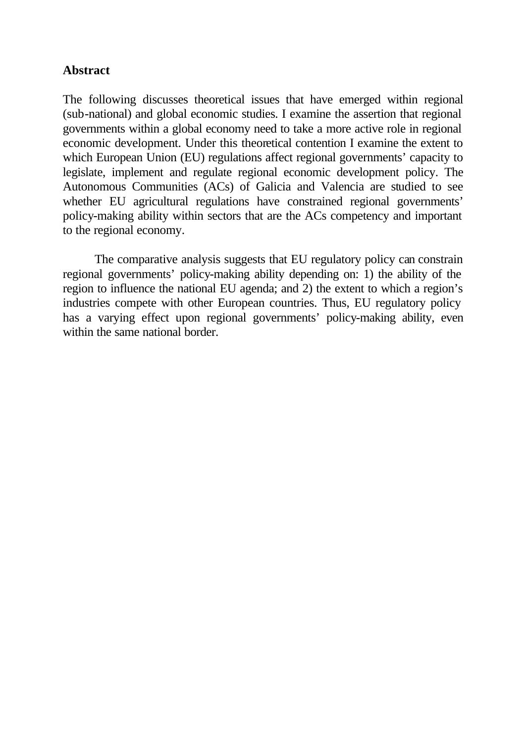## **Abstract**

The following discusses theoretical issues that have emerged within regional (sub-national) and global economic studies. I examine the assertion that regional governments within a global economy need to take a more active role in regional economic development. Under this theoretical contention I examine the extent to which European Union (EU) regulations affect regional governments' capacity to legislate, implement and regulate regional economic development policy. The Autonomous Communities (ACs) of Galicia and Valencia are studied to see whether EU agricultural regulations have constrained regional governments' policy-making ability within sectors that are the ACs competency and important to the regional economy.

The comparative analysis suggests that EU regulatory policy can constrain regional governments' policy-making ability depending on: 1) the ability of the region to influence the national EU agenda; and 2) the extent to which a region's industries compete with other European countries. Thus, EU regulatory policy has a varying effect upon regional governments' policy-making ability, even within the same national border.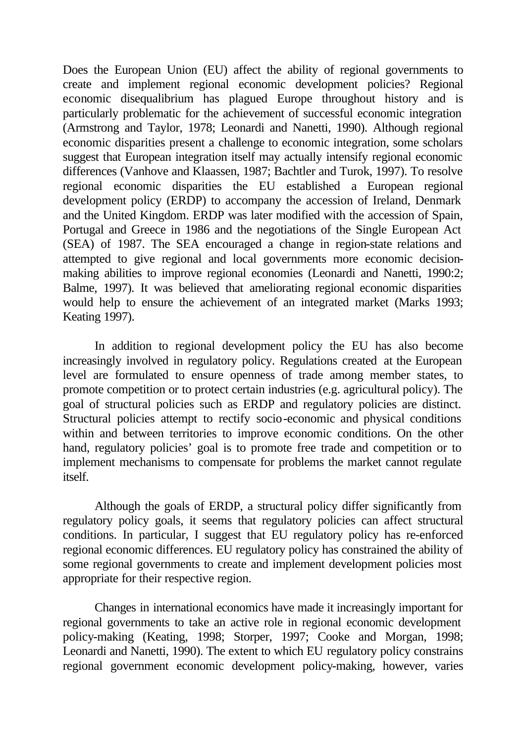Does the European Union (EU) affect the ability of regional governments to create and implement regional economic development policies? Regional economic disequalibrium has plagued Europe throughout history and is particularly problematic for the achievement of successful economic integration (Armstrong and Taylor, 1978; Leonardi and Nanetti, 1990). Although regional economic disparities present a challenge to economic integration, some scholars suggest that European integration itself may actually intensify regional economic differences (Vanhove and Klaassen, 1987; Bachtler and Turok, 1997). To resolve regional economic disparities the EU established a European regional development policy (ERDP) to accompany the accession of Ireland, Denmark and the United Kingdom. ERDP was later modified with the accession of Spain, Portugal and Greece in 1986 and the negotiations of the Single European Act (SEA) of 1987. The SEA encouraged a change in region-state relations and attempted to give regional and local governments more economic decisionmaking abilities to improve regional economies (Leonardi and Nanetti, 1990:2; Balme, 1997). It was believed that ameliorating regional economic disparities would help to ensure the achievement of an integrated market (Marks 1993; Keating 1997).

In addition to regional development policy the EU has also become increasingly involved in regulatory policy. Regulations created at the European level are formulated to ensure openness of trade among member states, to promote competition or to protect certain industries (e.g. agricultural policy). The goal of structural policies such as ERDP and regulatory policies are distinct. Structural policies attempt to rectify socio-economic and physical conditions within and between territories to improve economic conditions. On the other hand, regulatory policies' goal is to promote free trade and competition or to implement mechanisms to compensate for problems the market cannot regulate itself.

Although the goals of ERDP, a structural policy differ significantly from regulatory policy goals, it seems that regulatory policies can affect structural conditions. In particular, I suggest that EU regulatory policy has re-enforced regional economic differences. EU regulatory policy has constrained the ability of some regional governments to create and implement development policies most appropriate for their respective region.

Changes in international economics have made it increasingly important for regional governments to take an active role in regional economic development policy-making (Keating, 1998; Storper, 1997; Cooke and Morgan, 1998; Leonardi and Nanetti, 1990). The extent to which EU regulatory policy constrains regional government economic development policy-making, however, varies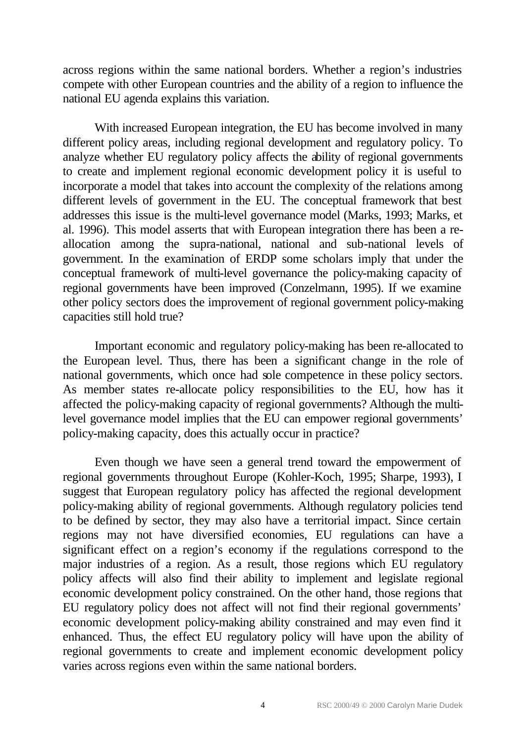across regions within the same national borders. Whether a region's industries compete with other European countries and the ability of a region to influence the national EU agenda explains this variation.

With increased European integration, the EU has become involved in many different policy areas, including regional development and regulatory policy. To analyze whether EU regulatory policy affects the ability of regional governments to create and implement regional economic development policy it is useful to incorporate a model that takes into account the complexity of the relations among different levels of government in the EU. The conceptual framework that best addresses this issue is the multi-level governance model (Marks, 1993; Marks, et al. 1996). This model asserts that with European integration there has been a reallocation among the supra-national, national and sub-national levels of government. In the examination of ERDP some scholars imply that under the conceptual framework of multi-level governance the policy-making capacity of regional governments have been improved (Conzelmann, 1995). If we examine other policy sectors does the improvement of regional government policy-making capacities still hold true?

Important economic and regulatory policy-making has been re-allocated to the European level. Thus, there has been a significant change in the role of national governments, which once had sole competence in these policy sectors. As member states re-allocate policy responsibilities to the EU, how has it affected the policy-making capacity of regional governments? Although the multilevel governance model implies that the EU can empower regional governments' policy-making capacity, does this actually occur in practice?

Even though we have seen a general trend toward the empowerment of regional governments throughout Europe (Kohler-Koch, 1995; Sharpe, 1993), I suggest that European regulatory policy has affected the regional development policy-making ability of regional governments. Although regulatory policies tend to be defined by sector, they may also have a territorial impact. Since certain regions may not have diversified economies, EU regulations can have a significant effect on a region's economy if the regulations correspond to the major industries of a region. As a result, those regions which EU regulatory policy affects will also find their ability to implement and legislate regional economic development policy constrained. On the other hand, those regions that EU regulatory policy does not affect will not find their regional governments' economic development policy-making ability constrained and may even find it enhanced. Thus, the effect EU regulatory policy will have upon the ability of regional governments to create and implement economic development policy varies across regions even within the same national borders.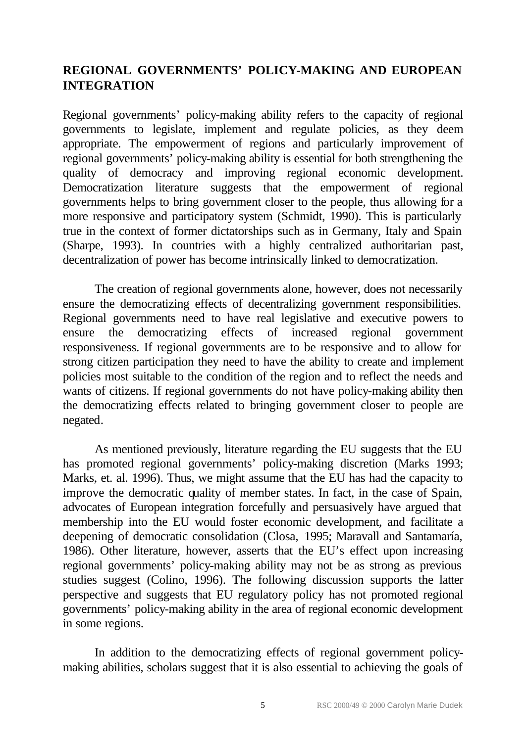## **REGIONAL GOVERNMENTS' POLICY-MAKING AND EUROPEAN INTEGRATION**

Regional governments' policy-making ability refers to the capacity of regional governments to legislate, implement and regulate policies, as they deem appropriate. The empowerment of regions and particularly improvement of regional governments' policy-making ability is essential for both strengthening the quality of democracy and improving regional economic development. Democratization literature suggests that the empowerment of regional governments helps to bring government closer to the people, thus allowing for a more responsive and participatory system (Schmidt, 1990). This is particularly true in the context of former dictatorships such as in Germany, Italy and Spain (Sharpe, 1993). In countries with a highly centralized authoritarian past, decentralization of power has become intrinsically linked to democratization.

The creation of regional governments alone, however, does not necessarily ensure the democratizing effects of decentralizing government responsibilities. Regional governments need to have real legislative and executive powers to ensure the democratizing effects of increased regional government responsiveness. If regional governments are to be responsive and to allow for strong citizen participation they need to have the ability to create and implement policies most suitable to the condition of the region and to reflect the needs and wants of citizens. If regional governments do not have policy-making ability then the democratizing effects related to bringing government closer to people are negated.

As mentioned previously, literature regarding the EU suggests that the EU has promoted regional governments' policy-making discretion (Marks 1993; Marks, et. al. 1996). Thus, we might assume that the EU has had the capacity to improve the democratic quality of member states. In fact, in the case of Spain, advocates of European integration forcefully and persuasively have argued that membership into the EU would foster economic development, and facilitate a deepening of democratic consolidation (Closa, 1995; Maravall and Santamaría, 1986). Other literature, however, asserts that the EU's effect upon increasing regional governments' policy-making ability may not be as strong as previous studies suggest (Colino, 1996). The following discussion supports the latter perspective and suggests that EU regulatory policy has not promoted regional governments' policy-making ability in the area of regional economic development in some regions.

In addition to the democratizing effects of regional government policymaking abilities, scholars suggest that it is also essential to achieving the goals of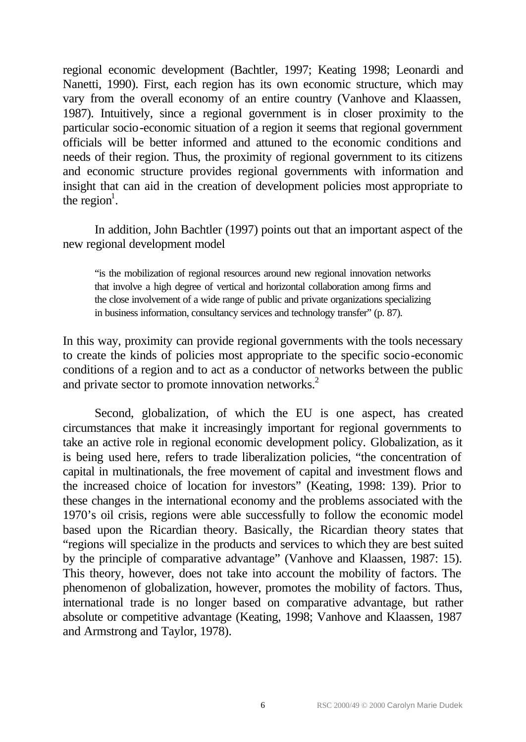regional economic development (Bachtler, 1997; Keating 1998; Leonardi and Nanetti, 1990). First, each region has its own economic structure, which may vary from the overall economy of an entire country (Vanhove and Klaassen, 1987). Intuitively, since a regional government is in closer proximity to the particular socio-economic situation of a region it seems that regional government officials will be better informed and attuned to the economic conditions and needs of their region. Thus, the proximity of regional government to its citizens and economic structure provides regional governments with information and insight that can aid in the creation of development policies most appropriate to the region<sup>1</sup>.

In addition, John Bachtler (1997) points out that an important aspect of the new regional development model

"is the mobilization of regional resources around new regional innovation networks that involve a high degree of vertical and horizontal collaboration among firms and the close involvement of a wide range of public and private organizations specializing in business information, consultancy services and technology transfer" (p. 87).

In this way, proximity can provide regional governments with the tools necessary to create the kinds of policies most appropriate to the specific socio-economic conditions of a region and to act as a conductor of networks between the public and private sector to promote innovation networks.<sup>2</sup>

Second, globalization, of which the EU is one aspect, has created circumstances that make it increasingly important for regional governments to take an active role in regional economic development policy. Globalization, as it is being used here, refers to trade liberalization policies, "the concentration of capital in multinationals, the free movement of capital and investment flows and the increased choice of location for investors" (Keating, 1998: 139). Prior to these changes in the international economy and the problems associated with the 1970's oil crisis, regions were able successfully to follow the economic model based upon the Ricardian theory. Basically, the Ricardian theory states that "regions will specialize in the products and services to which they are best suited by the principle of comparative advantage" (Vanhove and Klaassen, 1987: 15). This theory, however, does not take into account the mobility of factors. The phenomenon of globalization, however, promotes the mobility of factors. Thus, international trade is no longer based on comparative advantage, but rather absolute or competitive advantage (Keating, 1998; Vanhove and Klaassen, 1987 and Armstrong and Taylor, 1978).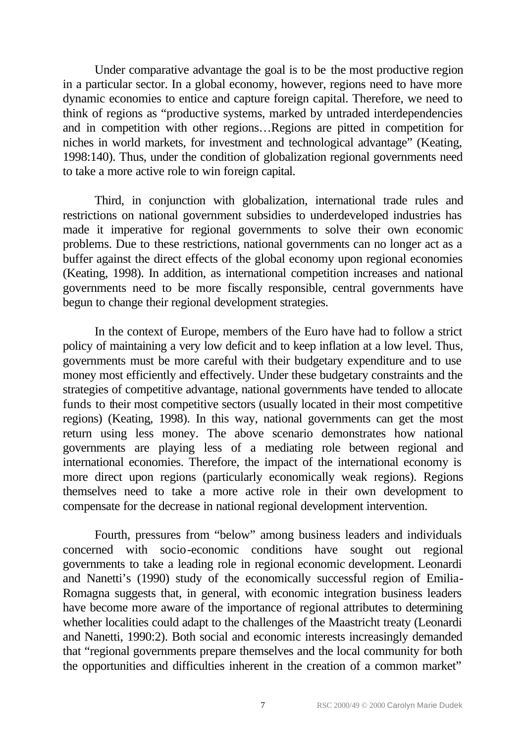Under comparative advantage the goal is to be the most productive region in a particular sector. In a global economy, however, regions need to have more dynamic economies to entice and capture foreign capital. Therefore, we need to think of regions as "productive systems, marked by untraded interdependencies and in competition with other regions…Regions are pitted in competition for niches in world markets, for investment and technological advantage" (Keating, 1998:140). Thus, under the condition of globalization regional governments need to take a more active role to win foreign capital.

Third, in conjunction with globalization, international trade rules and restrictions on national government subsidies to underdeveloped industries has made it imperative for regional governments to solve their own economic problems. Due to these restrictions, national governments can no longer act as a buffer against the direct effects of the global economy upon regional economies (Keating, 1998). In addition, as international competition increases and national governments need to be more fiscally responsible, central governments have begun to change their regional development strategies.

In the context of Europe, members of the Euro have had to follow a strict policy of maintaining a very low deficit and to keep inflation at a low level. Thus, governments must be more careful with their budgetary expenditure and to use money most efficiently and effectively. Under these budgetary constraints and the strategies of competitive advantage, national governments have tended to allocate funds to their most competitive sectors (usually located in their most competitive regions) (Keating, 1998). In this way, national governments can get the most return using less money. The above scenario demonstrates how national governments are playing less of a mediating role between regional and international economies. Therefore, the impact of the international economy is more direct upon regions (particularly economically weak regions). Regions themselves need to take a more active role in their own development to compensate for the decrease in national regional development intervention.

Fourth, pressures from "below" among business leaders and individuals concerned with socio-economic conditions have sought out regional governments to take a leading role in regional economic development. Leonardi and Nanetti's (1990) study of the economically successful region of Emilia-Romagna suggests that, in general, with economic integration business leaders have become more aware of the importance of regional attributes to determining whether localities could adapt to the challenges of the Maastricht treaty (Leonardi and Nanetti, 1990:2). Both social and economic interests increasingly demanded that "regional governments prepare themselves and the local community for both the opportunities and difficulties inherent in the creation of a common market"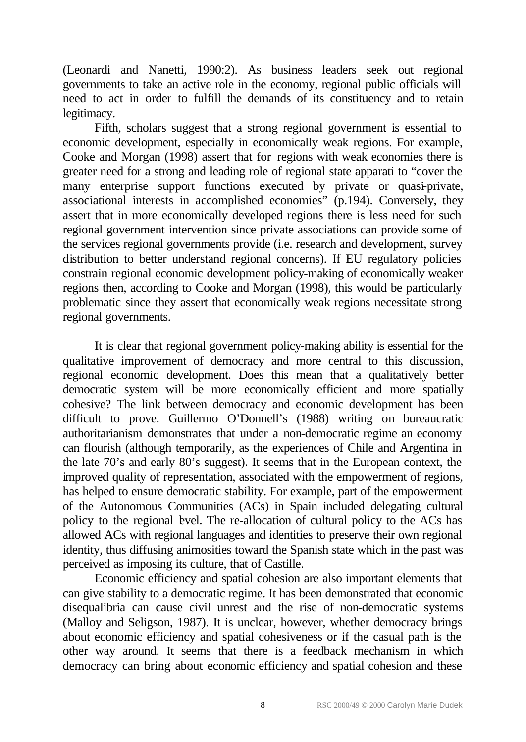(Leonardi and Nanetti, 1990:2). As business leaders seek out regional governments to take an active role in the economy, regional public officials will need to act in order to fulfill the demands of its constituency and to retain legitimacy.

Fifth, scholars suggest that a strong regional government is essential to economic development, especially in economically weak regions. For example, Cooke and Morgan (1998) assert that for regions with weak economies there is greater need for a strong and leading role of regional state apparati to "cover the many enterprise support functions executed by private or quasi-private, associational interests in accomplished economies" (p.194). Conversely, they assert that in more economically developed regions there is less need for such regional government intervention since private associations can provide some of the services regional governments provide (i.e. research and development, survey distribution to better understand regional concerns). If EU regulatory policies constrain regional economic development policy-making of economically weaker regions then, according to Cooke and Morgan (1998), this would be particularly problematic since they assert that economically weak regions necessitate strong regional governments.

It is clear that regional government policy-making ability is essential for the qualitative improvement of democracy and more central to this discussion, regional economic development. Does this mean that a qualitatively better democratic system will be more economically efficient and more spatially cohesive? The link between democracy and economic development has been difficult to prove. Guillermo O'Donnell's (1988) writing on bureaucratic authoritarianism demonstrates that under a non-democratic regime an economy can flourish (although temporarily, as the experiences of Chile and Argentina in the late 70's and early 80's suggest). It seems that in the European context, the improved quality of representation, associated with the empowerment of regions, has helped to ensure democratic stability. For example, part of the empowerment of the Autonomous Communities (ACs) in Spain included delegating cultural policy to the regional evel. The re-allocation of cultural policy to the ACs has allowed ACs with regional languages and identities to preserve their own regional identity, thus diffusing animosities toward the Spanish state which in the past was perceived as imposing its culture, that of Castille.

Economic efficiency and spatial cohesion are also important elements that can give stability to a democratic regime. It has been demonstrated that economic disequalibria can cause civil unrest and the rise of non-democratic systems (Malloy and Seligson, 1987). It is unclear, however, whether democracy brings about economic efficiency and spatial cohesiveness or if the casual path is the other way around. It seems that there is a feedback mechanism in which democracy can bring about economic efficiency and spatial cohesion and these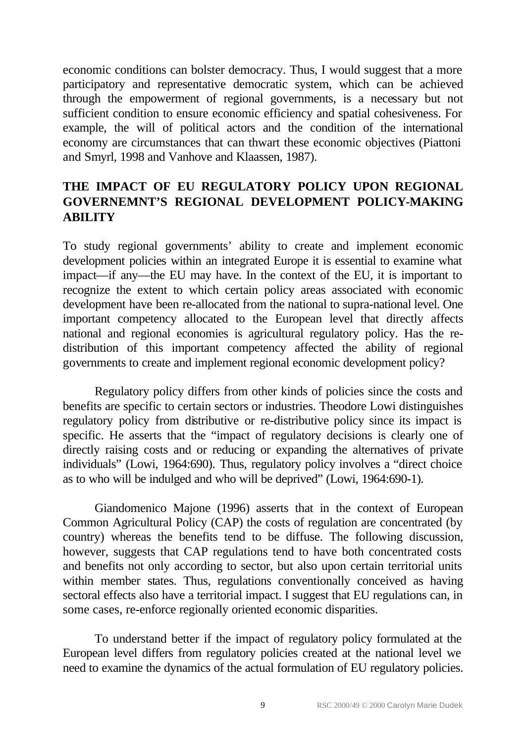economic conditions can bolster democracy. Thus, I would suggest that a more participatory and representative democratic system, which can be achieved through the empowerment of regional governments, is a necessary but not sufficient condition to ensure economic efficiency and spatial cohesiveness. For example, the will of political actors and the condition of the international economy are circumstances that can thwart these economic objectives (Piattoni and Smyrl, 1998 and Vanhove and Klaassen, 1987).

# **THE IMPACT OF EU REGULATORY POLICY UPON REGIONAL GOVERNEMNT'S REGIONAL DEVELOPMENT POLICY-MAKING ABILITY**

To study regional governments' ability to create and implement economic development policies within an integrated Europe it is essential to examine what impact—if any—the EU may have. In the context of the EU, it is important to recognize the extent to which certain policy areas associated with economic development have been re-allocated from the national to supra-national level. One important competency allocated to the European level that directly affects national and regional economies is agricultural regulatory policy. Has the redistribution of this important competency affected the ability of regional governments to create and implement regional economic development policy?

Regulatory policy differs from other kinds of policies since the costs and benefits are specific to certain sectors or industries. Theodore Lowi distinguishes regulatory policy from distributive or re-distributive policy since its impact is specific. He asserts that the "impact of regulatory decisions is clearly one of directly raising costs and or reducing or expanding the alternatives of private individuals" (Lowi, 1964:690). Thus, regulatory policy involves a "direct choice as to who will be indulged and who will be deprived" (Lowi, 1964:690-1).

Giandomenico Majone (1996) asserts that in the context of European Common Agricultural Policy (CAP) the costs of regulation are concentrated (by country) whereas the benefits tend to be diffuse. The following discussion, however, suggests that CAP regulations tend to have both concentrated costs and benefits not only according to sector, but also upon certain territorial units within member states. Thus, regulations conventionally conceived as having sectoral effects also have a territorial impact. I suggest that EU regulations can, in some cases, re-enforce regionally oriented economic disparities.

To understand better if the impact of regulatory policy formulated at the European level differs from regulatory policies created at the national level we need to examine the dynamics of the actual formulation of EU regulatory policies.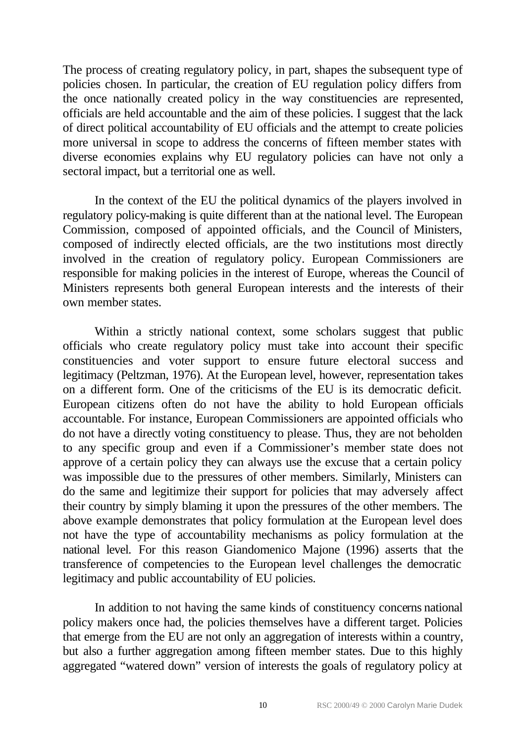The process of creating regulatory policy, in part, shapes the subsequent type of policies chosen. In particular, the creation of EU regulation policy differs from the once nationally created policy in the way constituencies are represented, officials are held accountable and the aim of these policies. I suggest that the lack of direct political accountability of EU officials and the attempt to create policies more universal in scope to address the concerns of fifteen member states with diverse economies explains why EU regulatory policies can have not only a sectoral impact, but a territorial one as well.

In the context of the EU the political dynamics of the players involved in regulatory policy-making is quite different than at the national level. The European Commission, composed of appointed officials, and the Council of Ministers, composed of indirectly elected officials, are the two institutions most directly involved in the creation of regulatory policy. European Commissioners are responsible for making policies in the interest of Europe, whereas the Council of Ministers represents both general European interests and the interests of their own member states.

Within a strictly national context, some scholars suggest that public officials who create regulatory policy must take into account their specific constituencies and voter support to ensure future electoral success and legitimacy (Peltzman, 1976). At the European level, however, representation takes on a different form. One of the criticisms of the EU is its democratic deficit. European citizens often do not have the ability to hold European officials accountable. For instance, European Commissioners are appointed officials who do not have a directly voting constituency to please. Thus, they are not beholden to any specific group and even if a Commissioner's member state does not approve of a certain policy they can always use the excuse that a certain policy was impossible due to the pressures of other members. Similarly, Ministers can do the same and legitimize their support for policies that may adversely affect their country by simply blaming it upon the pressures of the other members. The above example demonstrates that policy formulation at the European level does not have the type of accountability mechanisms as policy formulation at the national level. For this reason Giandomenico Majone (1996) asserts that the transference of competencies to the European level challenges the democratic legitimacy and public accountability of EU policies.

In addition to not having the same kinds of constituency concerns national policy makers once had, the policies themselves have a different target. Policies that emerge from the EU are not only an aggregation of interests within a country, but also a further aggregation among fifteen member states. Due to this highly aggregated "watered down" version of interests the goals of regulatory policy at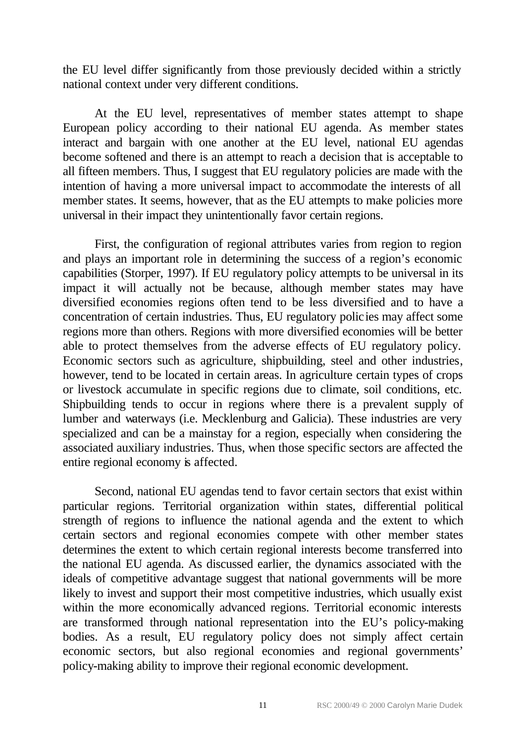the EU level differ significantly from those previously decided within a strictly national context under very different conditions.

At the EU level, representatives of member states attempt to shape European policy according to their national EU agenda. As member states interact and bargain with one another at the EU level, national EU agendas become softened and there is an attempt to reach a decision that is acceptable to all fifteen members. Thus, I suggest that EU regulatory policies are made with the intention of having a more universal impact to accommodate the interests of all member states. It seems, however, that as the EU attempts to make policies more universal in their impact they unintentionally favor certain regions.

First, the configuration of regional attributes varies from region to region and plays an important role in determining the success of a region's economic capabilities (Storper, 1997). If EU regulatory policy attempts to be universal in its impact it will actually not be because, although member states may have diversified economies regions often tend to be less diversified and to have a concentration of certain industries. Thus, EU regulatory policies may affect some regions more than others. Regions with more diversified economies will be better able to protect themselves from the adverse effects of EU regulatory policy. Economic sectors such as agriculture, shipbuilding, steel and other industries, however, tend to be located in certain areas. In agriculture certain types of crops or livestock accumulate in specific regions due to climate, soil conditions, etc. Shipbuilding tends to occur in regions where there is a prevalent supply of lumber and waterways (i.e. Mecklenburg and Galicia). These industries are very specialized and can be a mainstay for a region, especially when considering the associated auxiliary industries. Thus, when those specific sectors are affected the entire regional economy is affected.

Second, national EU agendas tend to favor certain sectors that exist within particular regions. Territorial organization within states, differential political strength of regions to influence the national agenda and the extent to which certain sectors and regional economies compete with other member states determines the extent to which certain regional interests become transferred into the national EU agenda. As discussed earlier, the dynamics associated with the ideals of competitive advantage suggest that national governments will be more likely to invest and support their most competitive industries, which usually exist within the more economically advanced regions. Territorial economic interests are transformed through national representation into the EU's policy-making bodies. As a result, EU regulatory policy does not simply affect certain economic sectors, but also regional economies and regional governments' policy-making ability to improve their regional economic development.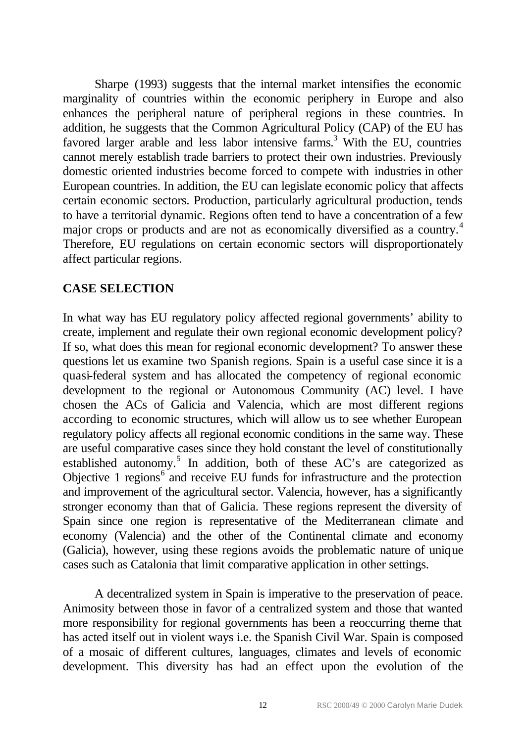Sharpe (1993) suggests that the internal market intensifies the economic marginality of countries within the economic periphery in Europe and also enhances the peripheral nature of peripheral regions in these countries. In addition, he suggests that the Common Agricultural Policy (CAP) of the EU has favored larger arable and less labor intensive farms.<sup>3</sup> With the EU, countries cannot merely establish trade barriers to protect their own industries. Previously domestic oriented industries become forced to compete with industries in other European countries. In addition, the EU can legislate economic policy that affects certain economic sectors. Production, particularly agricultural production, tends to have a territorial dynamic. Regions often tend to have a concentration of a few major crops or products and are not as economically diversified as a country.<sup>4</sup> Therefore, EU regulations on certain economic sectors will disproportionately affect particular regions.

## **CASE SELECTION**

In what way has EU regulatory policy affected regional governments' ability to create, implement and regulate their own regional economic development policy? If so, what does this mean for regional economic development? To answer these questions let us examine two Spanish regions. Spain is a useful case since it is a quasi-federal system and has allocated the competency of regional economic development to the regional or Autonomous Community (AC) level. I have chosen the ACs of Galicia and Valencia, which are most different regions according to economic structures, which will allow us to see whether European regulatory policy affects all regional economic conditions in the same way. These are useful comparative cases since they hold constant the level of constitutionally established autonomy.<sup>5</sup> In addition, both of these AC's are categorized as Objective 1 regions<sup>6</sup> and receive EU funds for infrastructure and the protection and improvement of the agricultural sector. Valencia, however, has a significantly stronger economy than that of Galicia. These regions represent the diversity of Spain since one region is representative of the Mediterranean climate and economy (Valencia) and the other of the Continental climate and economy (Galicia), however, using these regions avoids the problematic nature of unique cases such as Catalonia that limit comparative application in other settings.

A decentralized system in Spain is imperative to the preservation of peace. Animosity between those in favor of a centralized system and those that wanted more responsibility for regional governments has been a reoccurring theme that has acted itself out in violent ways i.e. the Spanish Civil War. Spain is composed of a mosaic of different cultures, languages, climates and levels of economic development. This diversity has had an effect upon the evolution of the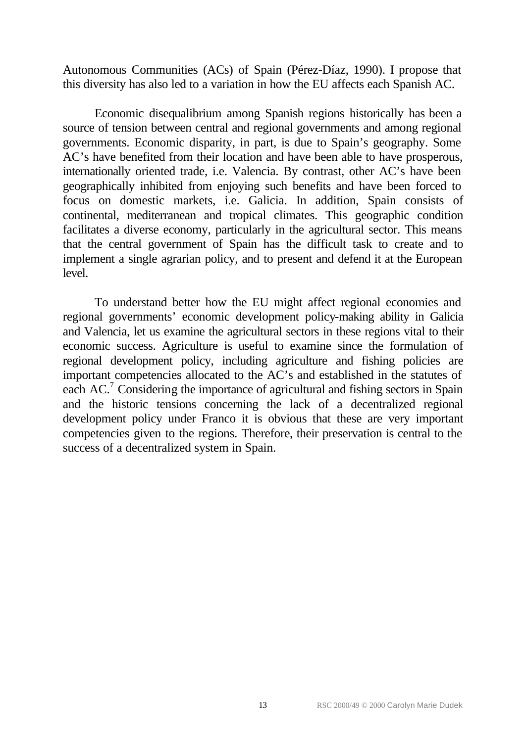Autonomous Communities (ACs) of Spain (Pérez-Díaz, 1990). I propose that this diversity has also led to a variation in how the EU affects each Spanish AC.

Economic disequalibrium among Spanish regions historically has been a source of tension between central and regional governments and among regional governments. Economic disparity, in part, is due to Spain's geography. Some AC's have benefited from their location and have been able to have prosperous, internationally oriented trade, i.e. Valencia. By contrast, other AC's have been geographically inhibited from enjoying such benefits and have been forced to focus on domestic markets, i.e. Galicia. In addition, Spain consists of continental, mediterranean and tropical climates. This geographic condition facilitates a diverse economy, particularly in the agricultural sector. This means that the central government of Spain has the difficult task to create and to implement a single agrarian policy, and to present and defend it at the European level.

To understand better how the EU might affect regional economies and regional governments' economic development policy-making ability in Galicia and Valencia, let us examine the agricultural sectors in these regions vital to their economic success. Agriculture is useful to examine since the formulation of regional development policy, including agriculture and fishing policies are important competencies allocated to the AC's and established in the statutes of each  $AC$ <sup>7</sup> Considering the importance of agricultural and fishing sectors in Spain and the historic tensions concerning the lack of a decentralized regional development policy under Franco it is obvious that these are very important competencies given to the regions. Therefore, their preservation is central to the success of a decentralized system in Spain.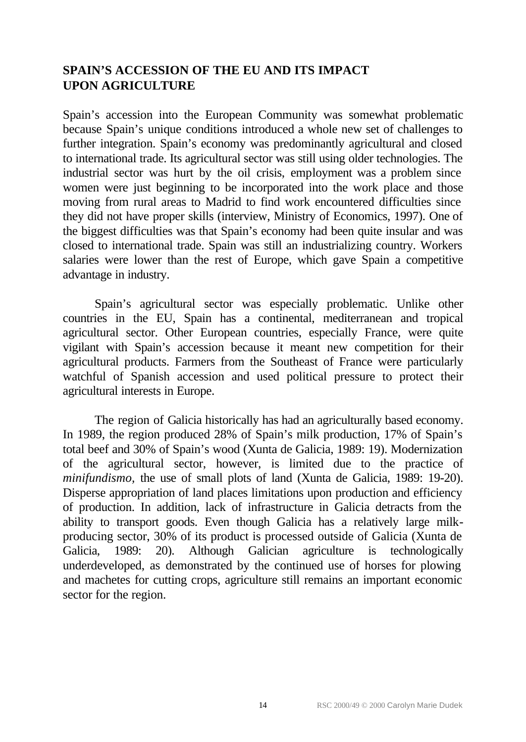## **SPAIN'S ACCESSION OF THE EU AND ITS IMPACT UPON AGRICULTURE**

Spain's accession into the European Community was somewhat problematic because Spain's unique conditions introduced a whole new set of challenges to further integration. Spain's economy was predominantly agricultural and closed to international trade. Its agricultural sector was still using older technologies. The industrial sector was hurt by the oil crisis, employment was a problem since women were just beginning to be incorporated into the work place and those moving from rural areas to Madrid to find work encountered difficulties since they did not have proper skills (interview, Ministry of Economics, 1997). One of the biggest difficulties was that Spain's economy had been quite insular and was closed to international trade. Spain was still an industrializing country. Workers salaries were lower than the rest of Europe, which gave Spain a competitive advantage in industry.

Spain's agricultural sector was especially problematic. Unlike other countries in the EU, Spain has a continental, mediterranean and tropical agricultural sector. Other European countries, especially France, were quite vigilant with Spain's accession because it meant new competition for their agricultural products. Farmers from the Southeast of France were particularly watchful of Spanish accession and used political pressure to protect their agricultural interests in Europe.

The region of Galicia historically has had an agriculturally based economy. In 1989, the region produced 28% of Spain's milk production, 17% of Spain's total beef and 30% of Spain's wood (Xunta de Galicia, 1989: 19). Modernization of the agricultural sector, however, is limited due to the practice of *minifundismo,* the use of small plots of land (Xunta de Galicia, 1989: 19-20). Disperse appropriation of land places limitations upon production and efficiency of production. In addition, lack of infrastructure in Galicia detracts from the ability to transport goods. Even though Galicia has a relatively large milkproducing sector, 30% of its product is processed outside of Galicia (Xunta de Galicia, 1989: 20). Although Galician agriculture is technologically underdeveloped, as demonstrated by the continued use of horses for plowing and machetes for cutting crops, agriculture still remains an important economic sector for the region.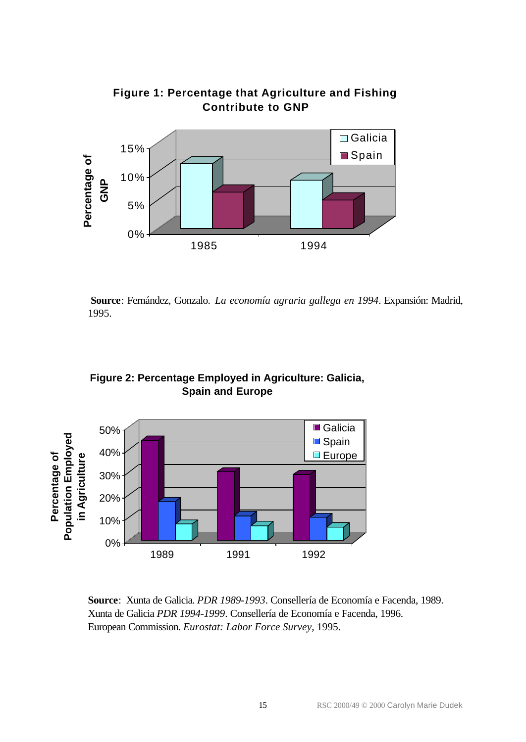

## **Figure 1: Percentage that Agriculture and Fishing Contribute to GNP**

**Source**: Fernández, Gonzalo. *La economía agraria gallega en 1994*. Expansión: Madrid, 1995.



**Figure 2: Percentage Employed in Agriculture: Galicia, Spain and Europe**

**Source**: Xunta de Galicia. *PDR 1989-1993*. Consellería de Economía e Facenda, 1989. Xunta de Galicia *PDR 1994-1999*. Consellería de Economía e Facenda, 1996. European Commission. *Eurostat: Labor Force Survey*, 1995.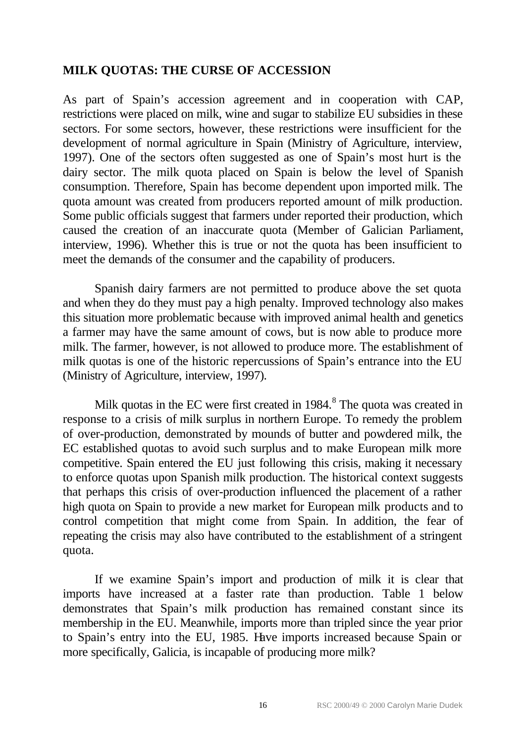## **MILK QUOTAS: THE CURSE OF ACCESSION**

As part of Spain's accession agreement and in cooperation with CAP, restrictions were placed on milk, wine and sugar to stabilize EU subsidies in these sectors. For some sectors, however, these restrictions were insufficient for the development of normal agriculture in Spain (Ministry of Agriculture, interview, 1997). One of the sectors often suggested as one of Spain's most hurt is the dairy sector. The milk quota placed on Spain is below the level of Spanish consumption. Therefore, Spain has become dependent upon imported milk. The quota amount was created from producers reported amount of milk production. Some public officials suggest that farmers under reported their production, which caused the creation of an inaccurate quota (Member of Galician Parliament, interview, 1996). Whether this is true or not the quota has been insufficient to meet the demands of the consumer and the capability of producers.

Spanish dairy farmers are not permitted to produce above the set quota and when they do they must pay a high penalty. Improved technology also makes this situation more problematic because with improved animal health and genetics a farmer may have the same amount of cows, but is now able to produce more milk. The farmer, however, is not allowed to produce more. The establishment of milk quotas is one of the historic repercussions of Spain's entrance into the EU (Ministry of Agriculture, interview, 1997).

Milk quotas in the EC were first created in  $1984$ .<sup>8</sup> The quota was created in response to a crisis of milk surplus in northern Europe. To remedy the problem of over-production, demonstrated by mounds of butter and powdered milk, the EC established quotas to avoid such surplus and to make European milk more competitive. Spain entered the EU just following this crisis, making it necessary to enforce quotas upon Spanish milk production. The historical context suggests that perhaps this crisis of over-production influenced the placement of a rather high quota on Spain to provide a new market for European milk products and to control competition that might come from Spain. In addition, the fear of repeating the crisis may also have contributed to the establishment of a stringent quota.

If we examine Spain's import and production of milk it is clear that imports have increased at a faster rate than production. Table 1 below demonstrates that Spain's milk production has remained constant since its membership in the EU. Meanwhile, imports more than tripled since the year prior to Spain's entry into the EU, 1985. Have imports increased because Spain or more specifically, Galicia, is incapable of producing more milk?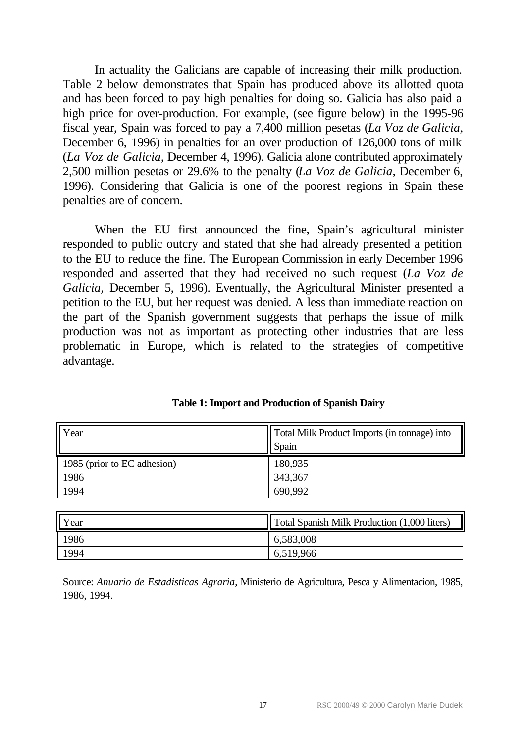In actuality the Galicians are capable of increasing their milk production. Table 2 below demonstrates that Spain has produced above its allotted quota and has been forced to pay high penalties for doing so. Galicia has also paid a high price for over-production. For example, (see figure below) in the 1995-96 fiscal year, Spain was forced to pay a 7,400 million pesetas (*La Voz de Galicia,* December 6, 1996) in penalties for an over production of 126,000 tons of milk (*La Voz de Galicia,* December 4, 1996). Galicia alone contributed approximately 2,500 million pesetas or 29.6% to the penalty (*La Voz de Galicia,* December 6, 1996). Considering that Galicia is one of the poorest regions in Spain these penalties are of concern.

When the EU first announced the fine, Spain's agricultural minister responded to public outcry and stated that she had already presented a petition to the EU to reduce the fine. The European Commission in early December 1996 responded and asserted that they had received no such request (*La Voz de Galicia,* December 5, 1996). Eventually, the Agricultural Minister presented a petition to the EU, but her request was denied. A less than immediate reaction on the part of the Spanish government suggests that perhaps the issue of milk production was not as important as protecting other industries that are less problematic in Europe, which is related to the strategies of competitive advantage.

| Year                        | Total Milk Product Imports (in tonnage) into<br><b>Spain</b> |
|-----------------------------|--------------------------------------------------------------|
| 1985 (prior to EC adhesion) | 180,935                                                      |
| 1986                        | 343,367                                                      |
| 1994                        | 690,992                                                      |

**Table 1: Import and Production of Spanish Dairy**

| Year | Total Spanish Milk Production (1,000 liters) |
|------|----------------------------------------------|
| 1986 | 6,583,008                                    |
| 1994 | 6,519,966                                    |

Source: *Anuario de Estadisticas Agraria*, Ministerio de Agricultura, Pesca y Alimentacion, 1985, 1986, 1994.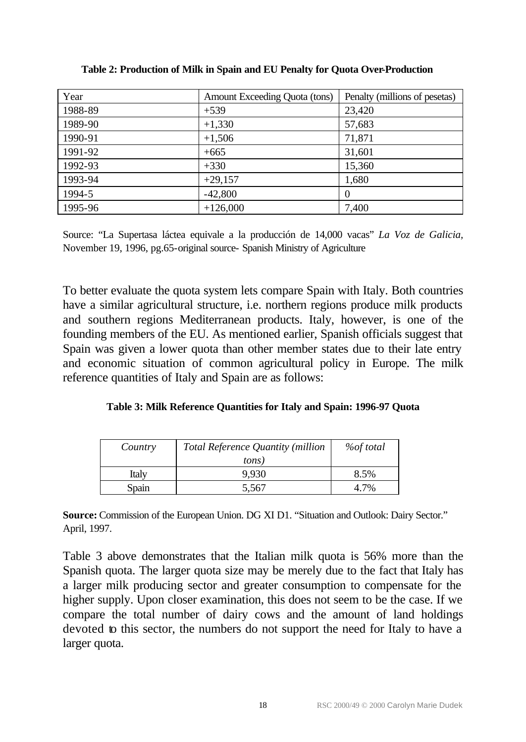| Year    | Amount Exceeding Quota (tons) | Penalty (millions of pesetas) |
|---------|-------------------------------|-------------------------------|
| 1988-89 | $+539$                        | 23,420                        |
| 1989-90 | $+1,330$                      | 57,683                        |
| 1990-91 | $+1,506$                      | 71,871                        |
| 1991-92 | $+665$                        | 31,601                        |
| 1992-93 | $+330$                        | 15,360                        |
| 1993-94 | $+29,157$                     | 1,680                         |
| 1994-5  | $-42,800$                     | $\Omega$                      |
| 1995-96 | $+126,000$                    | 7,400                         |

**Table 2: Production of Milk in Spain and EU Penalty for Quota Over-Production**

Source: "La Supertasa láctea equivale a la producción de 14,000 vacas" *La Voz de Galicia,* November 19, 1996, pg.65-original source- Spanish Ministry of Agriculture

To better evaluate the quota system lets compare Spain with Italy. Both countries have a similar agricultural structure, i.e. northern regions produce milk products and southern regions Mediterranean products. Italy, however, is one of the founding members of the EU. As mentioned earlier, Spanish officials suggest that Spain was given a lower quota than other member states due to their late entry and economic situation of common agricultural policy in Europe. The milk reference quantities of Italy and Spain are as follows:

| Table 3: Milk Reference Quantities for Italy and Spain: 1996-97 Quota |  |  |  |
|-----------------------------------------------------------------------|--|--|--|
|-----------------------------------------------------------------------|--|--|--|

| Country      | <b>Total Reference Quantity (million</b><br>tons) | <i>%of total</i> |
|--------------|---------------------------------------------------|------------------|
| <b>Italy</b> | 9.930                                             | 8.5%             |
| Spain        | 5,567                                             |                  |

**Source:** Commission of the European Union. DG XI D1. "Situation and Outlook: Dairy Sector." April, 1997.

Table 3 above demonstrates that the Italian milk quota is 56% more than the Spanish quota. The larger quota size may be merely due to the fact that Italy has a larger milk producing sector and greater consumption to compensate for the higher supply. Upon closer examination, this does not seem to be the case. If we compare the total number of dairy cows and the amount of land holdings devoted to this sector, the numbers do not support the need for Italy to have a larger quota.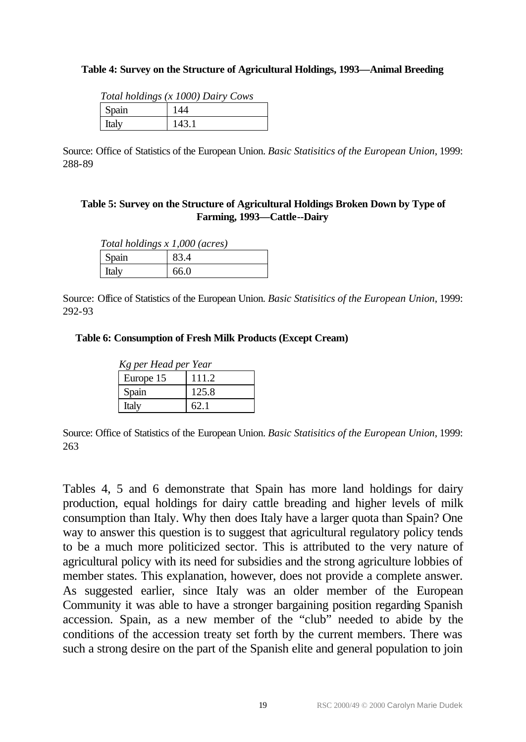#### **Table 4: Survey on the Structure of Agricultural Holdings, 1993—Animal Breeding**

| Total holdings (x 1000) Dairy Cows |       |  |  |
|------------------------------------|-------|--|--|
| <b>Spain</b>                       | 144   |  |  |
| <b>Italy</b>                       | 143.1 |  |  |

Source: Office of Statistics of the European Union. *Basic Statisitics of the European Union*, 1999: 288-89

#### **Table 5: Survey on the Structure of Agricultural Holdings Broken Down by Type of Farming, 1993—Cattle--Dairy**

| Total holdings x 1,000 (acres) |      |  |
|--------------------------------|------|--|
| <b>Spain</b>                   | 83.4 |  |
| <b>Italy</b>                   | 66.0 |  |

Source: Office of Statistics of the European Union. *Basic Statisitics of the European Union*, 1999: 292-93

#### **Table 6: Consumption of Fresh Milk Products (Except Cream)**

| Kg per Head per Year |       |  |  |
|----------------------|-------|--|--|
| Europe 15            | 111.2 |  |  |
| Spain                | 125.8 |  |  |
| Italy                | 62.1  |  |  |

Source: Office of Statistics of the European Union. *Basic Statisitics of the European Union*, 1999: 263

Tables 4, 5 and 6 demonstrate that Spain has more land holdings for dairy production, equal holdings for dairy cattle breading and higher levels of milk consumption than Italy. Why then does Italy have a larger quota than Spain? One way to answer this question is to suggest that agricultural regulatory policy tends to be a much more politicized sector. This is attributed to the very nature of agricultural policy with its need for subsidies and the strong agriculture lobbies of member states. This explanation, however, does not provide a complete answer. As suggested earlier, since Italy was an older member of the European Community it was able to have a stronger bargaining position regarding Spanish accession. Spain, as a new member of the "club" needed to abide by the conditions of the accession treaty set forth by the current members. There was such a strong desire on the part of the Spanish elite and general population to join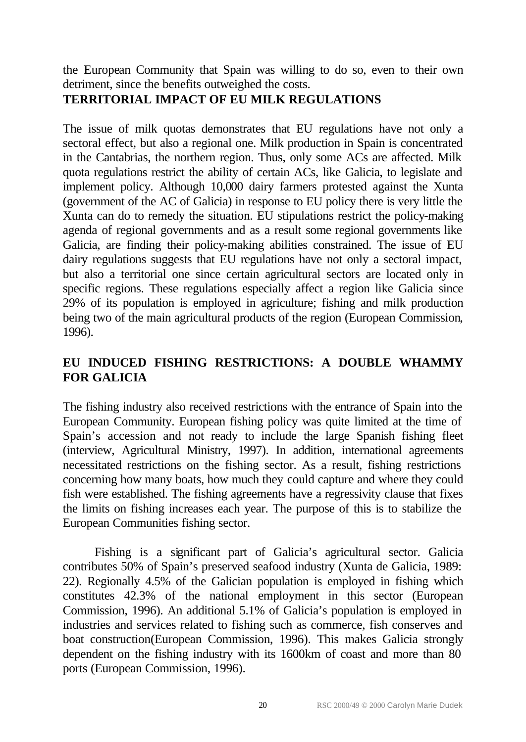the European Community that Spain was willing to do so, even to their own detriment, since the benefits outweighed the costs.

# **TERRITORIAL IMPACT OF EU MILK REGULATIONS**

The issue of milk quotas demonstrates that EU regulations have not only a sectoral effect, but also a regional one. Milk production in Spain is concentrated in the Cantabrias, the northern region. Thus, only some ACs are affected. Milk quota regulations restrict the ability of certain ACs, like Galicia, to legislate and implement policy. Although 10,000 dairy farmers protested against the Xunta (government of the AC of Galicia) in response to EU policy there is very little the Xunta can do to remedy the situation. EU stipulations restrict the policy-making agenda of regional governments and as a result some regional governments like Galicia, are finding their policy-making abilities constrained. The issue of EU dairy regulations suggests that EU regulations have not only a sectoral impact, but also a territorial one since certain agricultural sectors are located only in specific regions. These regulations especially affect a region like Galicia since 29% of its population is employed in agriculture; fishing and milk production being two of the main agricultural products of the region (European Commission, 1996).

# **EU INDUCED FISHING RESTRICTIONS: A DOUBLE WHAMMY FOR GALICIA**

The fishing industry also received restrictions with the entrance of Spain into the European Community. European fishing policy was quite limited at the time of Spain's accession and not ready to include the large Spanish fishing fleet (interview, Agricultural Ministry, 1997). In addition, international agreements necessitated restrictions on the fishing sector. As a result, fishing restrictions concerning how many boats, how much they could capture and where they could fish were established. The fishing agreements have a regressivity clause that fixes the limits on fishing increases each year. The purpose of this is to stabilize the European Communities fishing sector.

Fishing is a significant part of Galicia's agricultural sector. Galicia contributes 50% of Spain's preserved seafood industry (Xunta de Galicia, 1989: 22). Regionally 4.5% of the Galician population is employed in fishing which constitutes 42.3% of the national employment in this sector (European Commission, 1996). An additional 5.1% of Galicia's population is employed in industries and services related to fishing such as commerce, fish conserves and boat construction(European Commission, 1996). This makes Galicia strongly dependent on the fishing industry with its 1600km of coast and more than 80 ports (European Commission, 1996).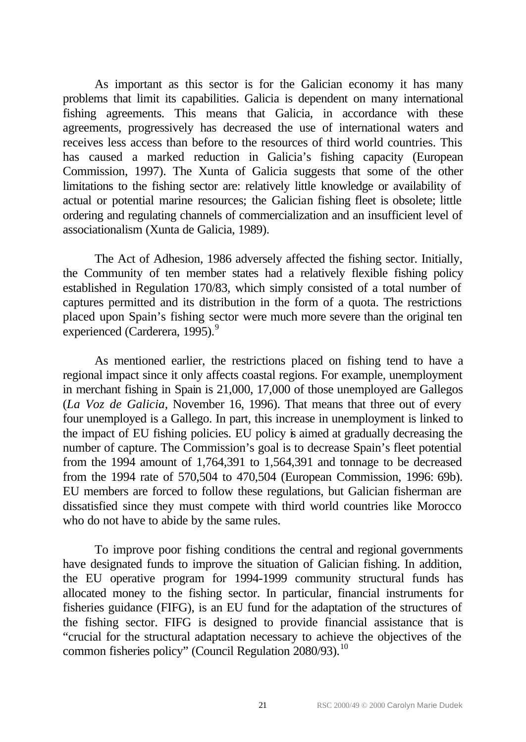As important as this sector is for the Galician economy it has many problems that limit its capabilities. Galicia is dependent on many international fishing agreements. This means that Galicia, in accordance with these agreements, progressively has decreased the use of international waters and receives less access than before to the resources of third world countries. This has caused a marked reduction in Galicia's fishing capacity (European Commission, 1997). The Xunta of Galicia suggests that some of the other limitations to the fishing sector are: relatively little knowledge or availability of actual or potential marine resources; the Galician fishing fleet is obsolete; little ordering and regulating channels of commercialization and an insufficient level of associationalism (Xunta de Galicia, 1989).

The Act of Adhesion, 1986 adversely affected the fishing sector. Initially, the Community of ten member states had a relatively flexible fishing policy established in Regulation 170/83, which simply consisted of a total number of captures permitted and its distribution in the form of a quota. The restrictions placed upon Spain's fishing sector were much more severe than the original ten experienced (Carderera, 1995).<sup>9</sup>

As mentioned earlier, the restrictions placed on fishing tend to have a regional impact since it only affects coastal regions. For example, unemployment in merchant fishing in Spain is 21,000, 17,000 of those unemployed are Gallegos (*La Voz de Galicia,* November 16, 1996). That means that three out of every four unemployed is a Gallego. In part, this increase in unemployment is linked to the impact of EU fishing policies. EU policy is aimed at gradually decreasing the number of capture. The Commission's goal is to decrease Spain's fleet potential from the 1994 amount of 1,764,391 to 1,564,391 and tonnage to be decreased from the 1994 rate of 570,504 to 470,504 (European Commission, 1996: 69b). EU members are forced to follow these regulations, but Galician fisherman are dissatisfied since they must compete with third world countries like Morocco who do not have to abide by the same rules.

To improve poor fishing conditions the central and regional governments have designated funds to improve the situation of Galician fishing. In addition, the EU operative program for 1994-1999 community structural funds has allocated money to the fishing sector. In particular, financial instruments for fisheries guidance (FIFG), is an EU fund for the adaptation of the structures of the fishing sector. FIFG is designed to provide financial assistance that is "crucial for the structural adaptation necessary to achieve the objectives of the common fisheries policy" (Council Regulation 2080/93).<sup>10</sup>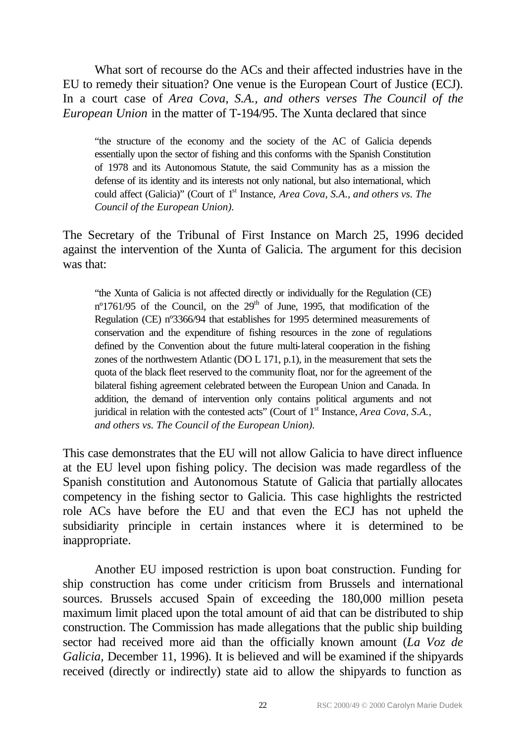What sort of recourse do the ACs and their affected industries have in the EU to remedy their situation? One venue is the European Court of Justice (ECJ). In a court case of *Area Cova, S.A., and others verses The Council of the European Union* in the matter of T-194/95. The Xunta declared that since

"the structure of the economy and the society of the AC of Galicia depends essentially upon the sector of fishing and this conforms with the Spanish Constitution of 1978 and its Autonomous Statute, the said Community has as a mission the defense of its identity and its interests not only national, but also international, which could affect (Galicia)" (Court of 1<sup>st</sup> Instance, *Area Cova, S.A., and others vs. The Council of the European Union).*

The Secretary of the Tribunal of First Instance on March 25, 1996 decided against the intervention of the Xunta of Galicia. The argument for this decision was that:

"the Xunta of Galicia is not affected directly or individually for the Regulation (CE) nº1761/95 of the Council, on the  $29<sup>th</sup>$  of June, 1995, that modification of the Regulation (CE) nº3366/94 that establishes for 1995 determined measurements of conservation and the expenditure of fishing resources in the zone of regulations defined by the Convention about the future multi-lateral cooperation in the fishing zones of the northwestern Atlantic (DO L 171, p.1), in the measurement that sets the quota of the black fleet reserved to the community float, nor for the agreement of the bilateral fishing agreement celebrated between the European Union and Canada. In addition, the demand of intervention only contains political arguments and not juridical in relation with the contested acts" (Court of 1<sup>st</sup> Instance, *Area Cova*, *S.A.*, *and others vs. The Council of the European Union).*

This case demonstrates that the EU will not allow Galicia to have direct influence at the EU level upon fishing policy. The decision was made regardless of the Spanish constitution and Autonomous Statute of Galicia that partially allocates competency in the fishing sector to Galicia. This case highlights the restricted role ACs have before the EU and that even the ECJ has not upheld the subsidiarity principle in certain instances where it is determined to be inappropriate.

Another EU imposed restriction is upon boat construction. Funding for ship construction has come under criticism from Brussels and international sources. Brussels accused Spain of exceeding the 180,000 million peseta maximum limit placed upon the total amount of aid that can be distributed to ship construction. The Commission has made allegations that the public ship building sector had received more aid than the officially known amount (*La Voz de Galicia,* December 11, 1996). It is believed and will be examined if the shipyards received (directly or indirectly) state aid to allow the shipyards to function as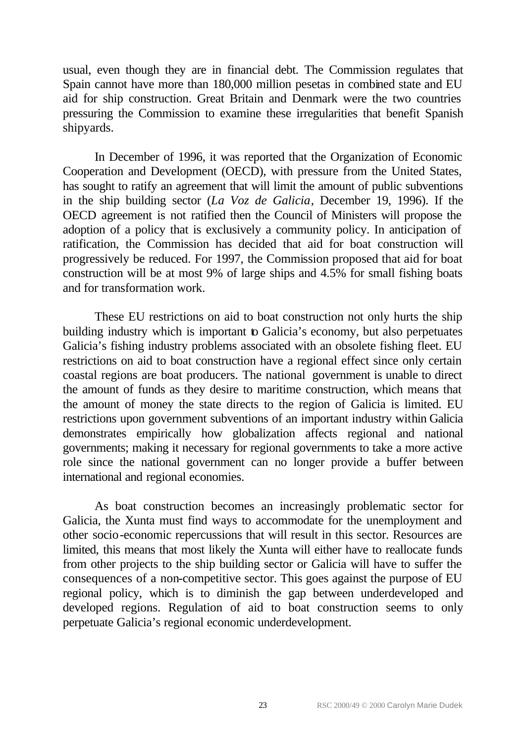usual, even though they are in financial debt. The Commission regulates that Spain cannot have more than 180,000 million pesetas in combined state and EU aid for ship construction. Great Britain and Denmark were the two countries pressuring the Commission to examine these irregularities that benefit Spanish shipyards.

In December of 1996, it was reported that the Organization of Economic Cooperation and Development (OECD), with pressure from the United States, has sought to ratify an agreement that will limit the amount of public subventions in the ship building sector (*La Voz de Galicia*, December 19, 1996). If the OECD agreement is not ratified then the Council of Ministers will propose the adoption of a policy that is exclusively a community policy. In anticipation of ratification, the Commission has decided that aid for boat construction will progressively be reduced. For 1997, the Commission proposed that aid for boat construction will be at most 9% of large ships and 4.5% for small fishing boats and for transformation work.

These EU restrictions on aid to boat construction not only hurts the ship building industry which is important to Galicia's economy, but also perpetuates Galicia's fishing industry problems associated with an obsolete fishing fleet. EU restrictions on aid to boat construction have a regional effect since only certain coastal regions are boat producers. The national government is unable to direct the amount of funds as they desire to maritime construction, which means that the amount of money the state directs to the region of Galicia is limited. EU restrictions upon government subventions of an important industry within Galicia demonstrates empirically how globalization affects regional and national governments; making it necessary for regional governments to take a more active role since the national government can no longer provide a buffer between international and regional economies.

As boat construction becomes an increasingly problematic sector for Galicia, the Xunta must find ways to accommodate for the unemployment and other socio-economic repercussions that will result in this sector. Resources are limited, this means that most likely the Xunta will either have to reallocate funds from other projects to the ship building sector or Galicia will have to suffer the consequences of a non-competitive sector. This goes against the purpose of EU regional policy, which is to diminish the gap between underdeveloped and developed regions. Regulation of aid to boat construction seems to only perpetuate Galicia's regional economic underdevelopment.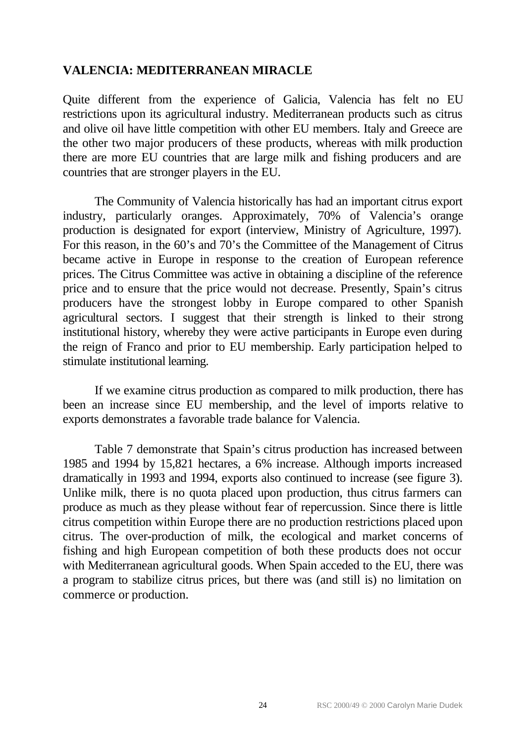## **VALENCIA: MEDITERRANEAN MIRACLE**

Quite different from the experience of Galicia, Valencia has felt no EU restrictions upon its agricultural industry. Mediterranean products such as citrus and olive oil have little competition with other EU members. Italy and Greece are the other two major producers of these products, whereas with milk production there are more EU countries that are large milk and fishing producers and are countries that are stronger players in the EU.

The Community of Valencia historically has had an important citrus export industry, particularly oranges. Approximately, 70% of Valencia's orange production is designated for export (interview, Ministry of Agriculture, 1997). For this reason, in the 60's and 70's the Committee of the Management of Citrus became active in Europe in response to the creation of European reference prices. The Citrus Committee was active in obtaining a discipline of the reference price and to ensure that the price would not decrease. Presently, Spain's citrus producers have the strongest lobby in Europe compared to other Spanish agricultural sectors. I suggest that their strength is linked to their strong institutional history, whereby they were active participants in Europe even during the reign of Franco and prior to EU membership. Early participation helped to stimulate institutional learning.

If we examine citrus production as compared to milk production, there has been an increase since EU membership, and the level of imports relative to exports demonstrates a favorable trade balance for Valencia.

Table 7 demonstrate that Spain's citrus production has increased between 1985 and 1994 by 15,821 hectares, a 6% increase. Although imports increased dramatically in 1993 and 1994, exports also continued to increase (see figure 3). Unlike milk, there is no quota placed upon production, thus citrus farmers can produce as much as they please without fear of repercussion. Since there is little citrus competition within Europe there are no production restrictions placed upon citrus. The over-production of milk, the ecological and market concerns of fishing and high European competition of both these products does not occur with Mediterranean agricultural goods. When Spain acceded to the EU, there was a program to stabilize citrus prices, but there was (and still is) no limitation on commerce or production.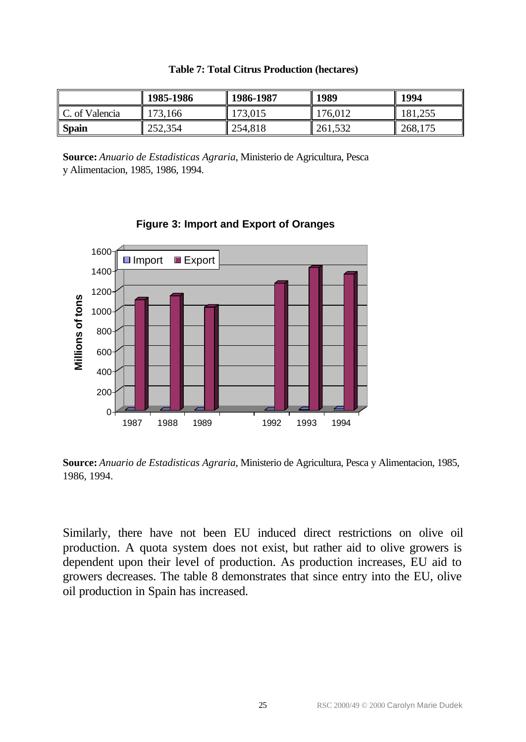|                | 1985-1986 | 1986-1987 | 1989    | 1994    |
|----------------|-----------|-----------|---------|---------|
| C. of Valencia | 173,166   | 173,015   | 176,012 | 181,255 |
| <b>Spain</b>   | 252,354   | 254,818   | 261,532 | 268,175 |

|  |  |  | <b>Table 7: Total Citrus Production (hectares)</b> |  |
|--|--|--|----------------------------------------------------|--|
|--|--|--|----------------------------------------------------|--|

**Source:** *Anuario de Estadisticas Agraria*, Ministerio de Agricultura, Pesca y Alimentacion, 1985, 1986, 1994.



**Figure 3: Import and Export of Oranges**

**Source:** *Anuario de Estadisticas Agraria*, Ministerio de Agricultura, Pesca y Alimentacion, 1985, 1986, 1994.

Similarly, there have not been EU induced direct restrictions on olive oil production. A quota system does not exist, but rather aid to olive growers is dependent upon their level of production. As production increases, EU aid to growers decreases. The table 8 demonstrates that since entry into the EU, olive oil production in Spain has increased.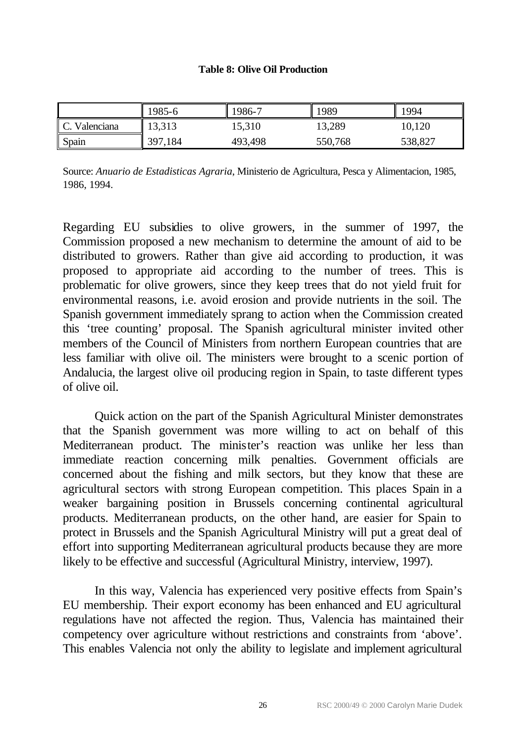#### **Table 8: Olive Oil Production**

|               | 1985-6  | 1986-7  | 1989    | 1994    |
|---------------|---------|---------|---------|---------|
| C. Valenciana | 13,313  | 15,310  | 13,289  | 10,120  |
| Spain         | 397,184 | 493,498 | 550,768 | 538,827 |

Source: *Anuario de Estadisticas Agraria*, Ministerio de Agricultura, Pesca y Alimentacion, 1985, 1986, 1994.

Regarding EU subsidies to olive growers, in the summer of 1997, the Commission proposed a new mechanism to determine the amount of aid to be distributed to growers. Rather than give aid according to production, it was proposed to appropriate aid according to the number of trees. This is problematic for olive growers, since they keep trees that do not yield fruit for environmental reasons, i.e. avoid erosion and provide nutrients in the soil. The Spanish government immediately sprang to action when the Commission created this 'tree counting' proposal. The Spanish agricultural minister invited other members of the Council of Ministers from northern European countries that are less familiar with olive oil. The ministers were brought to a scenic portion of Andalucia, the largest olive oil producing region in Spain, to taste different types of olive oil.

Quick action on the part of the Spanish Agricultural Minister demonstrates that the Spanish government was more willing to act on behalf of this Mediterranean product. The minister's reaction was unlike her less than immediate reaction concerning milk penalties. Government officials are concerned about the fishing and milk sectors, but they know that these are agricultural sectors with strong European competition. This places Spain in a weaker bargaining position in Brussels concerning continental agricultural products. Mediterranean products, on the other hand, are easier for Spain to protect in Brussels and the Spanish Agricultural Ministry will put a great deal of effort into supporting Mediterranean agricultural products because they are more likely to be effective and successful (Agricultural Ministry, interview, 1997).

In this way, Valencia has experienced very positive effects from Spain's EU membership. Their export economy has been enhanced and EU agricultural regulations have not affected the region. Thus, Valencia has maintained their competency over agriculture without restrictions and constraints from 'above'. This enables Valencia not only the ability to legislate and implement agricultural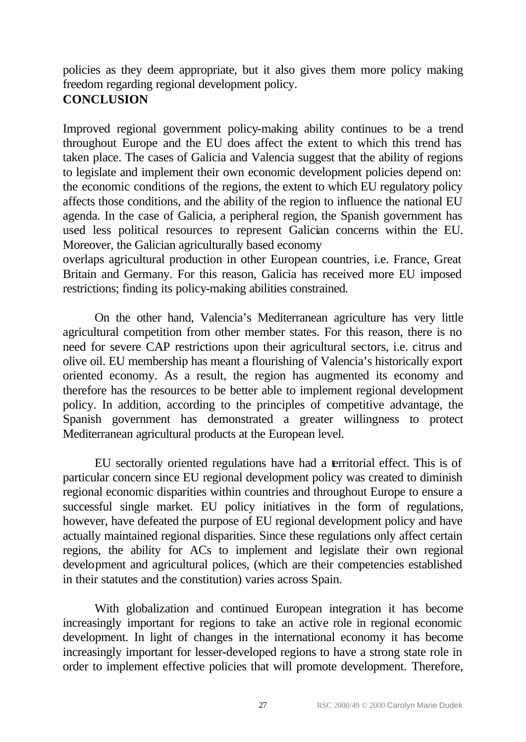policies as they deem appropriate, but it also gives them more policy making freedom regarding regional development policy. **CONCLUSION**

Improved regional government policy-making ability continues to be a trend throughout Europe and the EU does affect the extent to which this trend has taken place. The cases of Galicia and Valencia suggest that the ability of regions to legislate and implement their own economic development policies depend on: the economic conditions of the regions, the extent to which EU regulatory policy affects those conditions, and the ability of the region to influence the national EU agenda. In the case of Galicia, a peripheral region, the Spanish government has used less political resources to represent Galician concerns within the EU. Moreover, the Galician agriculturally based economy

overlaps agricultural production in other European countries, i.e. France, Great Britain and Germany. For this reason, Galicia has received more EU imposed restrictions; finding its policy-making abilities constrained.

On the other hand, Valencia's Mediterranean agriculture has very little agricultural competition from other member states. For this reason, there is no need for severe CAP restrictions upon their agricultural sectors, i.e. citrus and olive oil. EU membership has meant a flourishing of Valencia's historically export oriented economy. As a result, the region has augmented its economy and therefore has the resources to be better able to implement regional development policy. In addition, according to the principles of competitive advantage, the Spanish government has demonstrated a greater willingness to protect Mediterranean agricultural products at the European level.

EU sectorally oriented regulations have had a territorial effect. This is of particular concern since EU regional development policy was created to diminish regional economic disparities within countries and throughout Europe to ensure a successful single market. EU policy initiatives in the form of regulations, however, have defeated the purpose of EU regional development policy and have actually maintained regional disparities. Since these regulations only affect certain regions, the ability for ACs to implement and legislate their own regional development and agricultural polices, (which are their competencies established in their statutes and the constitution) varies across Spain.

With globalization and continued European integration it has become increasingly important for regions to take an active role in regional economic development. In light of changes in the international economy it has become increasingly important for lesser-developed regions to have a strong state role in order to implement effective policies that will promote development. Therefore,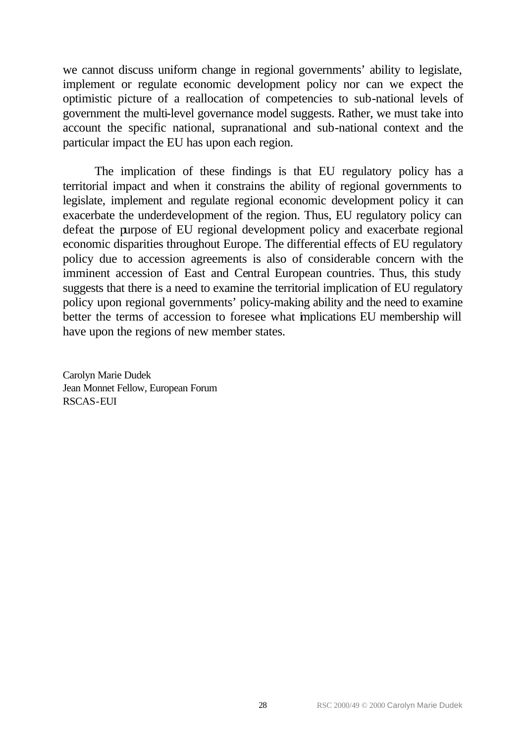we cannot discuss uniform change in regional governments' ability to legislate, implement or regulate economic development policy nor can we expect the optimistic picture of a reallocation of competencies to sub-national levels of government the multi-level governance model suggests. Rather, we must take into account the specific national, supranational and sub-national context and the particular impact the EU has upon each region.

The implication of these findings is that EU regulatory policy has a territorial impact and when it constrains the ability of regional governments to legislate, implement and regulate regional economic development policy it can exacerbate the underdevelopment of the region. Thus, EU regulatory policy can defeat the purpose of EU regional development policy and exacerbate regional economic disparities throughout Europe. The differential effects of EU regulatory policy due to accession agreements is also of considerable concern with the imminent accession of East and Central European countries. Thus, this study suggests that there is a need to examine the territorial implication of EU regulatory policy upon regional governments' policy-making ability and the need to examine better the terms of accession to foresee what implications EU membership will have upon the regions of new member states.

Carolyn Marie Dudek Jean Monnet Fellow, European Forum RSCAS-EUI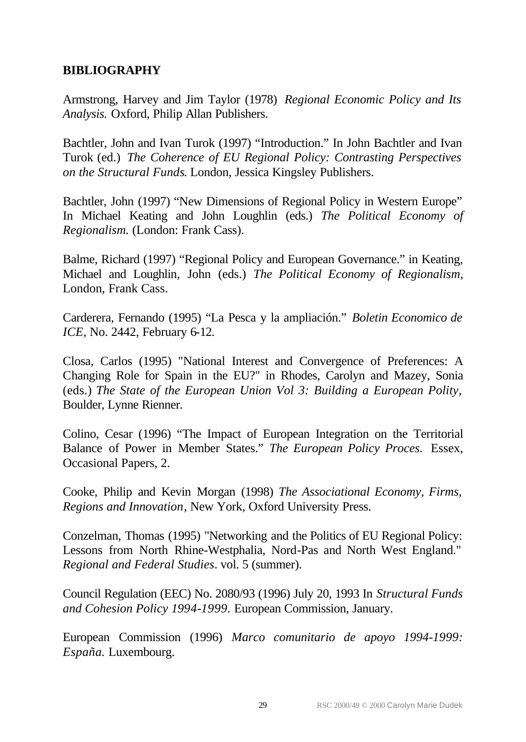## **BIBLIOGRAPHY**

Armstrong, Harvey and Jim Taylor (1978) *Regional Economic Policy and Its Analysis.* Oxford, Philip Allan Publishers.

Bachtler, John and Ivan Turok (1997) "Introduction." In John Bachtler and Ivan Turok (ed.) *The Coherence of EU Regional Policy: Contrasting Perspectives on the Structural Funds*. London, Jessica Kingsley Publishers.

Bachtler, John (1997) "New Dimensions of Regional Policy in Western Europe" In Michael Keating and John Loughlin (eds.) *The Political Economy of Regionalism.* (London: Frank Cass).

Balme, Richard (1997) "Regional Policy and European Governance." in Keating, Michael and Loughlin, John (eds.) *The Political Economy of Regionalism,* London, Frank Cass.

Carderera, Fernando (1995) "La Pesca y la ampliación." *Boletin Economico de ICE*, No. 2442, February 6-12.

Closa, Carlos (1995) "National Interest and Convergence of Preferences: A Changing Role for Spain in the EU?" in Rhodes, Carolyn and Mazey, Sonia (eds.) *The State of the European Union Vol 3: Building a European Polity,*  Boulder, Lynne Rienner.

Colino, Cesar (1996) "The Impact of European Integration on the Territorial Balance of Power in Member States." *The European Policy Proces.* Essex, Occasional Papers, 2.

Cooke, Philip and Kevin Morgan (1998) *The Associational Economy, Firms, Regions and Innovation*, New York, Oxford University Press.

Conzelman, Thomas (1995) "Networking and the Politics of EU Regional Policy: Lessons from North Rhine-Westphalia, Nord-Pas and North West England." *Regional and Federal Studies*. vol. 5 (summer).

Council Regulation (EEC) No. 2080/93 (1996) July 20, 1993 In *Structural Funds and Cohesion Policy 1994-1999.* European Commission, January.

European Commission (1996) *Marco comunitario de apoyo 1994-1999: España.* Luxembourg.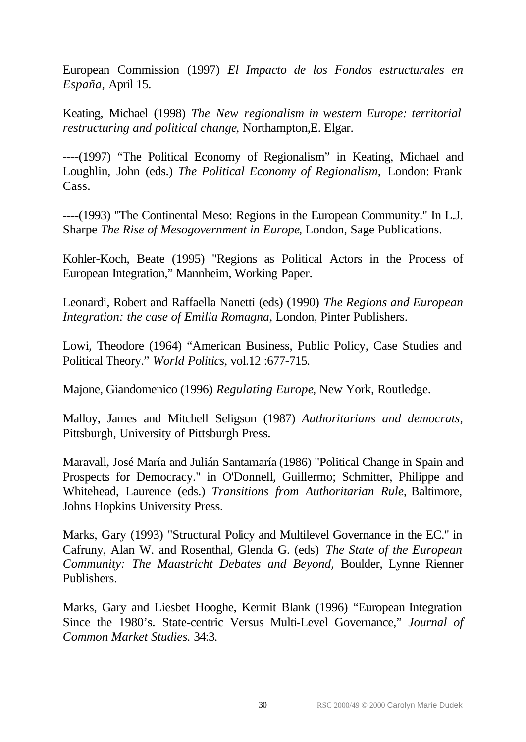European Commission (1997) *El Impacto de los Fondos estructurales en España,* April 15.

Keating, Michael (1998) *The New regionalism in western Europe: territorial restructuring and political change*, Northampton,E. Elgar.

----(1997) "The Political Economy of Regionalism" in Keating, Michael and Loughlin, John (eds.) *The Political Economy of Regionalism,* London: Frank Cass.

----(1993) "The Continental Meso: Regions in the European Community." In L.J. Sharpe *The Rise of Mesogovernment in Europe*, London, Sage Publications.

Kohler-Koch, Beate (1995) "Regions as Political Actors in the Process of European Integration," Mannheim, Working Paper.

Leonardi, Robert and Raffaella Nanetti (eds) (1990) *The Regions and European Integration: the case of Emilia Romagna*, London, Pinter Publishers.

Lowi, Theodore (1964) "American Business, Public Policy, Case Studies and Political Theory." *World Politics*, vol.12 :677-715.

Majone, Giandomenico (1996) *Regulating Europe*, New York, Routledge.

Malloy, James and Mitchell Seligson (1987) *Authoritarians and democrats*, Pittsburgh, University of Pittsburgh Press.

Maravall, José María and Julián Santamaría (1986) "Political Change in Spain and Prospects for Democracy." in O'Donnell, Guillermo; Schmitter, Philippe and Whitehead, Laurence (eds.) *Transitions from Authoritarian Rule*, Baltimore, Johns Hopkins University Press.

Marks, Gary (1993) "Structural Policy and Multilevel Governance in the EC." in Cafruny, Alan W. and Rosenthal, Glenda G. (eds) *The State of the European Community: The Maastricht Debates and Beyond,* Boulder, Lynne Rienner Publishers.

Marks, Gary and Liesbet Hooghe, Kermit Blank (1996) "European Integration Since the 1980's. State-centric Versus Multi-Level Governance," *Journal of Common Market Studies.* 34:3.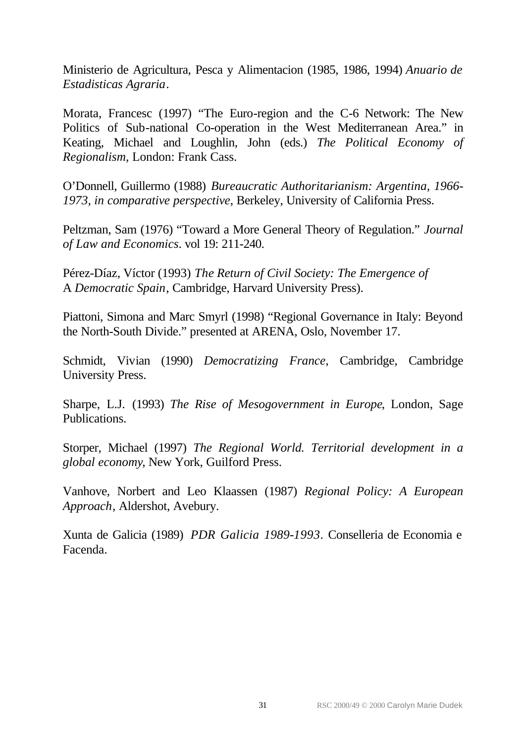Ministerio de Agricultura, Pesca y Alimentacion (1985, 1986, 1994) *Anuario de Estadisticas Agraria*.

Morata, Francesc (1997) "The Euro-region and the C-6 Network: The New Politics of Sub-national Co-operation in the West Mediterranean Area." in Keating, Michael and Loughlin, John (eds.) *The Political Economy of Regionalism,* London: Frank Cass.

O'Donnell, Guillermo (1988) *Bureaucratic Authoritarianism: Argentina, 1966- 1973, in comparative perspective*, Berkeley, University of California Press.

Peltzman, Sam (1976) "Toward a More General Theory of Regulation." *Journal of Law and Economics*. vol 19: 211-240.

Pérez-Díaz, Víctor (1993) *The Return of Civil Society: The Emergence of* A *Democratic Spain*, Cambridge, Harvard University Press).

Piattoni, Simona and Marc Smyrl (1998) "Regional Governance in Italy: Beyond the North-South Divide." presented at ARENA, Oslo, November 17.

Schmidt, Vivian (1990) *Democratizing France*, Cambridge, Cambridge University Press.

Sharpe, L.J. (1993) *The Rise of Mesogovernment in Europe*, London, Sage Publications.

Storper, Michael (1997) *The Regional World. Territorial development in a global economy*, New York, Guilford Press.

Vanhove, Norbert and Leo Klaassen (1987) *Regional Policy: A European Approach*, Aldershot, Avebury.

Xunta de Galicia (1989) *PDR Galicia 1989-1993*. Conselleria de Economia e Facenda.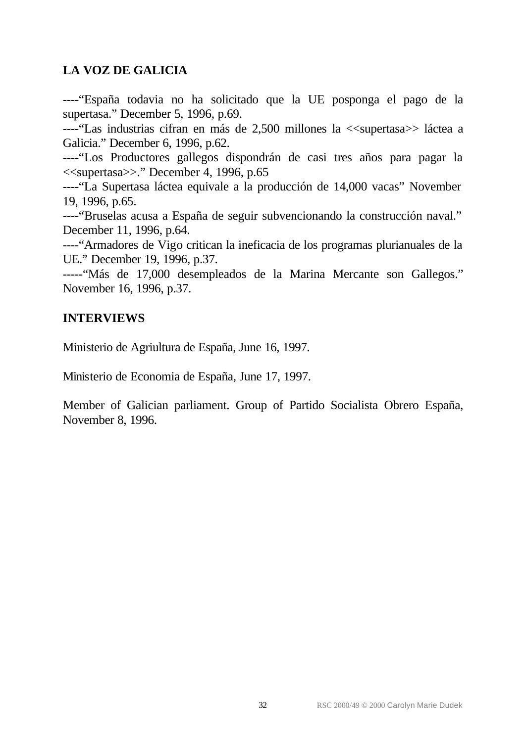## **LA VOZ DE GALICIA**

----"España todavia no ha solicitado que la UE posponga el pago de la supertasa." December 5, 1996, p.69.

----"Las industrias cifran en más de 2,500 millones la <<supertasa>> láctea a Galicia." December 6, 1996, p.62.

----"Los Productores gallegos dispondrán de casi tres años para pagar la <<supertasa>>." December 4, 1996, p.65

----"La Supertasa láctea equivale a la producción de 14,000 vacas" November 19, 1996, p.65.

----"Bruselas acusa a España de seguir subvencionando la construcción naval." December 11, 1996, p.64.

----"Armadores de Vigo critican la ineficacia de los programas plurianuales de la UE." December 19, 1996, p.37.

-----"Más de 17,000 desempleados de la Marina Mercante son Gallegos." November 16, 1996, p.37.

## **INTERVIEWS**

Ministerio de Agriultura de España, June 16, 1997.

Ministerio de Economia de España, June 17, 1997.

Member of Galician parliament. Group of Partido Socialista Obrero España, November 8, 1996.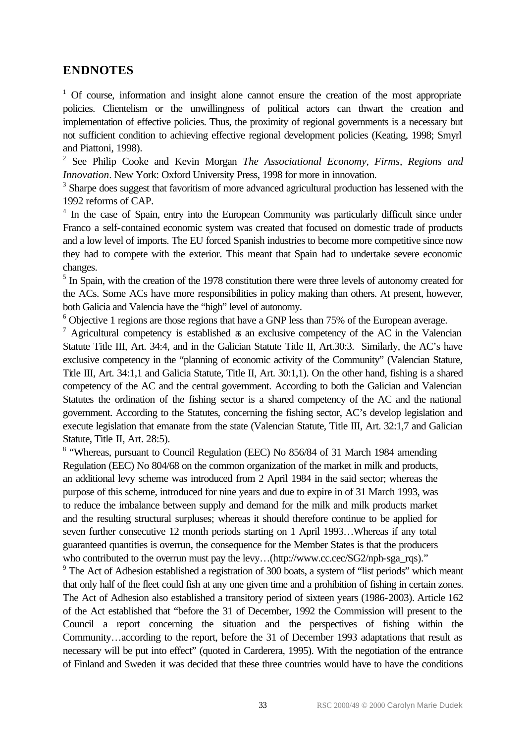#### **ENDNOTES**

<sup>1</sup> Of course, information and insight alone cannot ensure the creation of the most appropriate policies. Clientelism or the unwillingness of political actors can thwart the creation and implementation of effective policies. Thus, the proximity of regional governments is a necessary but not sufficient condition to achieving effective regional development policies (Keating, 1998; Smyrl and Piattoni, 1998).

2 See Philip Cooke and Kevin Morgan *The Associational Economy, Firms, Regions and Innovation*. New York: Oxford University Press, 1998 for more in innovation.

<sup>3</sup> Sharpe does suggest that favoritism of more advanced agricultural production has lessened with the 1992 reforms of CAP.

<sup>4</sup> In the case of Spain, entry into the European Community was particularly difficult since under Franco a self-contained economic system was created that focused on domestic trade of products and a low level of imports. The EU forced Spanish industries to become more competitive since now they had to compete with the exterior. This meant that Spain had to undertake severe economic changes.

<sup>5</sup> In Spain, with the creation of the 1978 constitution there were three levels of autonomy created for the ACs. Some ACs have more responsibilities in policy making than others. At present, however, both Galicia and Valencia have the "high" level of autonomy.

 $6$  Objective 1 regions are those regions that have a GNP less than 75% of the European average.

 $7$  Agricultural competency is established as an exclusive competency of the AC in the Valencian Statute Title III, Art. 34:4, and in the Galician Statute Title II, Art.30:3. Similarly, the AC's have exclusive competency in the "planning of economic activity of the Community" (Valencian Stature, Title III, Art. 34:1,1 and Galicia Statute, Title II, Art. 30:1,1). On the other hand, fishing is a shared competency of the AC and the central government. According to both the Galician and Valencian Statutes the ordination of the fishing sector is a shared competency of the AC and the national government. According to the Statutes, concerning the fishing sector, AC's develop legislation and execute legislation that emanate from the state (Valencian Statute, Title III, Art. 32:1,7 and Galician Statute, Title II, Art. 28:5).

<sup>8</sup> "Whereas, pursuant to Council Regulation (EEC) No 856/84 of 31 March 1984 amending Regulation (EEC) No 804/68 on the common organization of the market in milk and products, an additional levy scheme was introduced from 2 April 1984 in the said sector; whereas the purpose of this scheme, introduced for nine years and due to expire in of 31 March 1993, was to reduce the imbalance between supply and demand for the milk and milk products market and the resulting structural surpluses; whereas it should therefore continue to be applied for seven further consecutive 12 month periods starting on 1 April 1993…Whereas if any total guaranteed quantities is overrun, the consequence for the Member States is that the producers who contributed to the overrun must pay the levy...(http://www.cc.cec/SG2/nph-sga\_rqs)."

<sup>9</sup> The Act of Adhesion established a registration of 300 boats, a system of "list periods" which meant that only half of the fleet could fish at any one given time and a prohibition of fishing in certain zones. The Act of Adhesion also established a transitory period of sixteen years (1986-2003). Article 162 of the Act established that "before the 31 of December, 1992 the Commission will present to the Council a report concerning the situation and the perspectives of fishing within the Community…according to the report, before the 31 of December 1993 adaptations that result as necessary will be put into effect" (quoted in Carderera, 1995). With the negotiation of the entrance of Finland and Sweden it was decided that these three countries would have to have the conditions